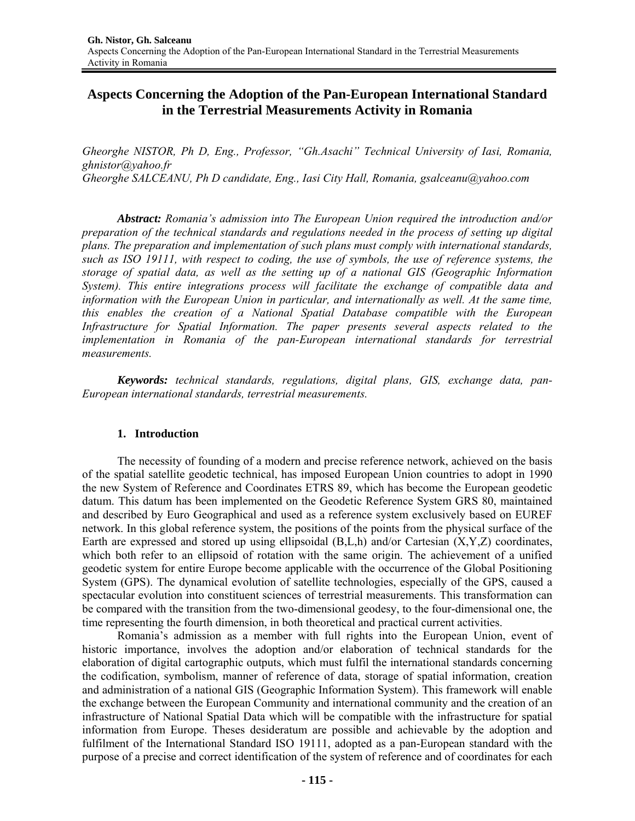# **Aspects Concerning the Adoption of the Pan-European International Standard in the Terrestrial Measurements Activity in Romania**

*Gheorghe NISTOR, Ph D, Eng., Professor, "Gh.Asachi" Technical University of Iasi, Romania, ghnistor@yahoo.fr Gheorghe SALCEANU, Ph D candidate, Eng., Iasi City Hall, Romania, gsalceanu@yahoo.com* 

*Abstract: Romania's admission into The European Union required the introduction and/or preparation of the technical standards and regulations needed in the process of setting up digital plans. The preparation and implementation of such plans must comply with international standards, such as ISO 19111, with respect to coding, the use of symbols, the use of reference systems, the storage of spatial data, as well as the setting up of a national GIS (Geographic Information System). This entire integrations process will facilitate the exchange of compatible data and*  information with the European Union in particular, and internationally as well. At the same time, *this enables the creation of a National Spatial Database compatible with the European Infrastructure for Spatial Information. The paper presents several aspects related to the implementation in Romania of the pan-European international standards for terrestrial measurements.* 

*Keywords: technical standards, regulations, digital plans, GIS, exchange data, pan-European international standards, terrestrial measurements.* 

#### **1. Introduction**

The necessity of founding of a modern and precise reference network, achieved on the basis of the spatial satellite geodetic technical, has imposed European Union countries to adopt in 1990 the new System of Reference and Coordinates ETRS 89, which has become the European geodetic datum. This datum has been implemented on the Geodetic Reference System GRS 80, maintained and described by Euro Geographical and used as a reference system exclusively based on EUREF network. In this global reference system, the positions of the points from the physical surface of the Earth are expressed and stored up using ellipsoidal  $(B,L,h)$  and/or Cartesian  $(X,Y,Z)$  coordinates, which both refer to an ellipsoid of rotation with the same origin. The achievement of a unified geodetic system for entire Europe become applicable with the occurrence of the Global Positioning System (GPS). The dynamical evolution of satellite technologies, especially of the GPS, caused a spectacular evolution into constituent sciences of terrestrial measurements. This transformation can be compared with the transition from the two-dimensional geodesy, to the four-dimensional one, the time representing the fourth dimension, in both theoretical and practical current activities.

Romania's admission as a member with full rights into the European Union, event of historic importance, involves the adoption and/or elaboration of technical standards for the elaboration of digital cartographic outputs, which must fulfil the international standards concerning the codification, symbolism, manner of reference of data, storage of spatial information, creation and administration of a national GIS (Geographic Information System). This framework will enable the exchange between the European Community and international community and the creation of an infrastructure of National Spatial Data which will be compatible with the infrastructure for spatial information from Europe. Theses desideratum are possible and achievable by the adoption and fulfilment of the International Standard ISO 19111, adopted as a pan-European standard with the purpose of a precise and correct identification of the system of reference and of coordinates for each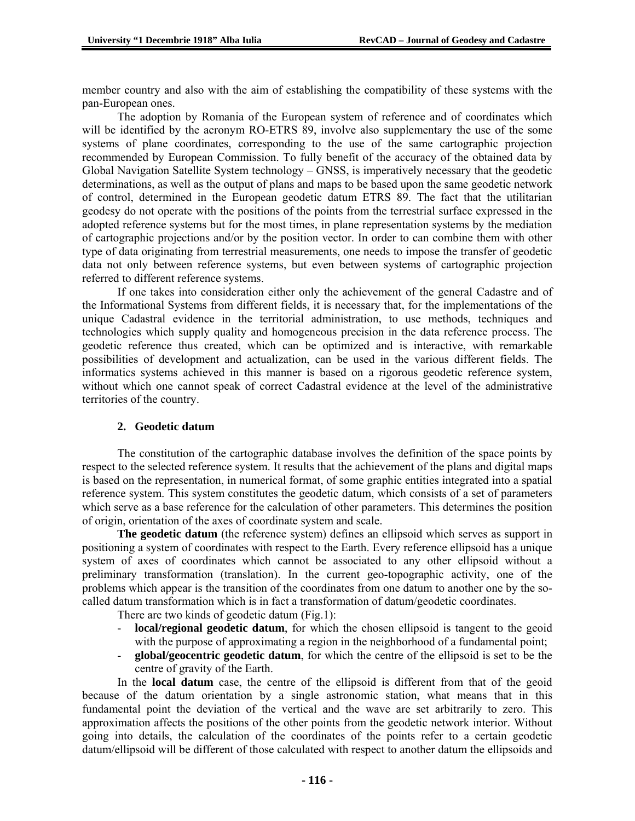member country and also with the aim of establishing the compatibility of these systems with the pan-European ones.

The adoption by Romania of the European system of reference and of coordinates which will be identified by the acronym RO-ETRS 89, involve also supplementary the use of the some systems of plane coordinates, corresponding to the use of the same cartographic projection recommended by European Commission. To fully benefit of the accuracy of the obtained data by Global Navigation Satellite System technology – GNSS, is imperatively necessary that the geodetic determinations, as well as the output of plans and maps to be based upon the same geodetic network of control, determined in the European geodetic datum ETRS 89. The fact that the utilitarian geodesy do not operate with the positions of the points from the terrestrial surface expressed in the adopted reference systems but for the most times, in plane representation systems by the mediation of cartographic projections and/or by the position vector. In order to can combine them with other type of data originating from terrestrial measurements, one needs to impose the transfer of geodetic data not only between reference systems, but even between systems of cartographic projection referred to different reference systems.

If one takes into consideration either only the achievement of the general Cadastre and of the Informational Systems from different fields, it is necessary that, for the implementations of the unique Cadastral evidence in the territorial administration, to use methods, techniques and technologies which supply quality and homogeneous precision in the data reference process. The geodetic reference thus created, which can be optimized and is interactive, with remarkable possibilities of development and actualization, can be used in the various different fields. The informatics systems achieved in this manner is based on a rigorous geodetic reference system, without which one cannot speak of correct Cadastral evidence at the level of the administrative territories of the country.

# **2. Geodetic datum**

The constitution of the cartographic database involves the definition of the space points by respect to the selected reference system. It results that the achievement of the plans and digital maps is based on the representation, in numerical format, of some graphic entities integrated into a spatial reference system. This system constitutes the geodetic datum, which consists of a set of parameters which serve as a base reference for the calculation of other parameters. This determines the position of origin, orientation of the axes of coordinate system and scale.

**The geodetic datum** (the reference system) defines an ellipsoid which serves as support in positioning a system of coordinates with respect to the Earth. Every reference ellipsoid has a unique system of axes of coordinates which cannot be associated to any other ellipsoid without a preliminary transformation (translation). In the current geo-topographic activity, one of the problems which appear is the transition of the coordinates from one datum to another one by the socalled datum transformation which is in fact a transformation of datum/geodetic coordinates.

There are two kinds of geodetic datum (Fig.1):

- **local/regional geodetic datum**, for which the chosen ellipsoid is tangent to the geoid with the purpose of approximating a region in the neighborhood of a fundamental point;
- **global/geocentric geodetic datum**, for which the centre of the ellipsoid is set to be the centre of gravity of the Earth.

In the **local datum** case, the centre of the ellipsoid is different from that of the geoid because of the datum orientation by a single astronomic station, what means that in this fundamental point the deviation of the vertical and the wave are set arbitrarily to zero. This approximation affects the positions of the other points from the geodetic network interior. Without going into details, the calculation of the coordinates of the points refer to a certain geodetic datum/ellipsoid will be different of those calculated with respect to another datum the ellipsoids and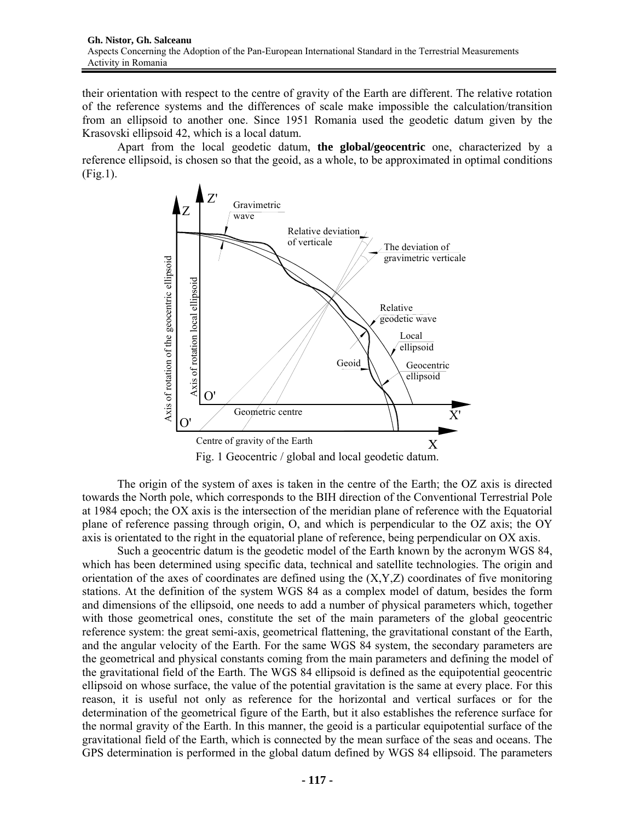their orientation with respect to the centre of gravity of the Earth are different. The relative rotation of the reference systems and the differences of scale make impossible the calculation/transition from an ellipsoid to another one. Since 1951 Romania used the geodetic datum given by the Krasovski ellipsoid 42, which is a local datum.

Apart from the local geodetic datum, **the global/geocentric** one, characterized by a reference ellipsoid, is chosen so that the geoid, as a whole, to be approximated in optimal conditions (Fig.1).



The origin of the system of axes is taken in the centre of the Earth; the OZ axis is directed towards the North pole, which corresponds to the BIH direction of the Conventional Terrestrial Pole at 1984 epoch; the OX axis is the intersection of the meridian plane of reference with the Equatorial plane of reference passing through origin, O, and which is perpendicular to the OZ axis; the OY axis is orientated to the right in the equatorial plane of reference, being perpendicular on OX axis.

Such a geocentric datum is the geodetic model of the Earth known by the acronym WGS 84, which has been determined using specific data, technical and satellite technologies. The origin and orientation of the axes of coordinates are defined using the  $(X, Y, Z)$  coordinates of five monitoring stations. At the definition of the system WGS 84 as a complex model of datum, besides the form and dimensions of the ellipsoid, one needs to add a number of physical parameters which, together with those geometrical ones, constitute the set of the main parameters of the global geocentric reference system: the great semi-axis, geometrical flattening, the gravitational constant of the Earth, and the angular velocity of the Earth. For the same WGS 84 system, the secondary parameters are the geometrical and physical constants coming from the main parameters and defining the model of the gravitational field of the Earth. The WGS 84 ellipsoid is defined as the equipotential geocentric ellipsoid on whose surface, the value of the potential gravitation is the same at every place. For this reason, it is useful not only as reference for the horizontal and vertical surfaces or for the determination of the geometrical figure of the Earth, but it also establishes the reference surface for the normal gravity of the Earth. In this manner, the geoid is a particular equipotential surface of the gravitational field of the Earth, which is connected by the mean surface of the seas and oceans. The GPS determination is performed in the global datum defined by WGS 84 ellipsoid. The parameters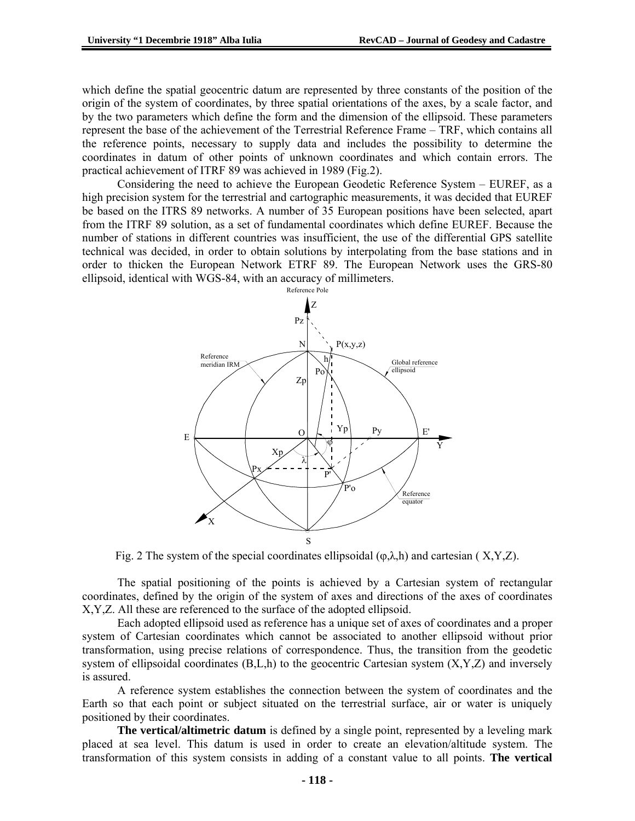which define the spatial geocentric datum are represented by three constants of the position of the origin of the system of coordinates, by three spatial orientations of the axes, by a scale factor, and by the two parameters which define the form and the dimension of the ellipsoid. These parameters represent the base of the achievement of the Terrestrial Reference Frame – TRF, which contains all the reference points, necessary to supply data and includes the possibility to determine the coordinates in datum of other points of unknown coordinates and which contain errors. The practical achievement of ITRF 89 was achieved in 1989 (Fig.2).

Considering the need to achieve the European Geodetic Reference System – EUREF, as a high precision system for the terrestrial and cartographic measurements, it was decided that EUREF be based on the ITRS 89 networks. A number of 35 European positions have been selected, apart from the ITRF 89 solution, as a set of fundamental coordinates which define EUREF. Because the number of stations in different countries was insufficient, the use of the differential GPS satellite technical was decided, in order to obtain solutions by interpolating from the base stations and in order to thicken the European Network ETRF 89. The European Network uses the GRS-80 ellipsoid, identical with WGS-84, with an accuracy of millimeters.



Fig. 2 The system of the special coordinates ellipsoidal  $(\varphi, \lambda, h)$  and cartesian (X,Y,Z).

The spatial positioning of the points is achieved by a Cartesian system of rectangular coordinates, defined by the origin of the system of axes and directions of the axes of coordinates X,Y,Z. All these are referenced to the surface of the adopted ellipsoid.

Each adopted ellipsoid used as reference has a unique set of axes of coordinates and a proper system of Cartesian coordinates which cannot be associated to another ellipsoid without prior transformation, using precise relations of correspondence. Thus, the transition from the geodetic system of ellipsoidal coordinates  $(B,L,h)$  to the geocentric Cartesian system  $(X,Y,Z)$  and inversely is assured.

A reference system establishes the connection between the system of coordinates and the Earth so that each point or subject situated on the terrestrial surface, air or water is uniquely positioned by their coordinates.

**The vertical/altimetric datum** is defined by a single point, represented by a leveling mark placed at sea level. This datum is used in order to create an elevation/altitude system. The transformation of this system consists in adding of a constant value to all points. **The vertical**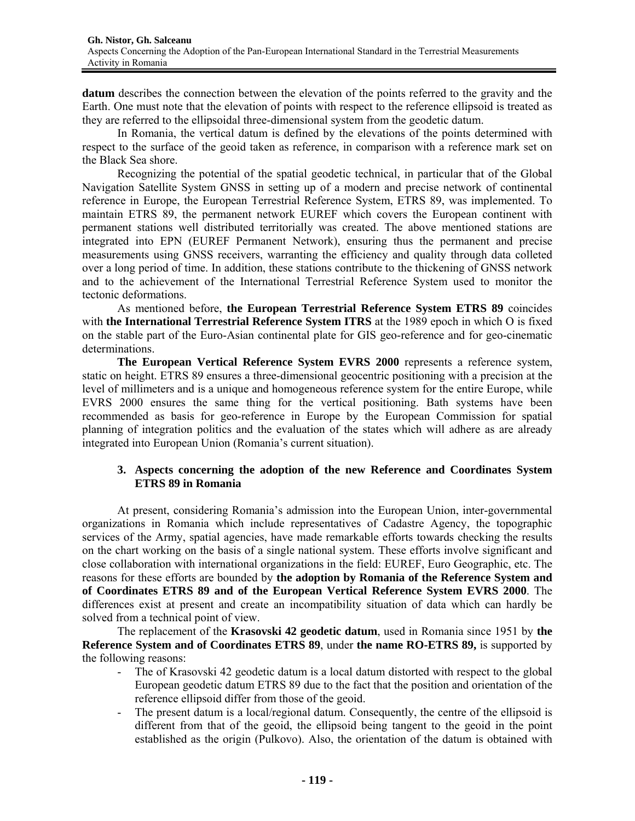**datum** describes the connection between the elevation of the points referred to the gravity and the Earth. One must note that the elevation of points with respect to the reference ellipsoid is treated as they are referred to the ellipsoidal three-dimensional system from the geodetic datum.

In Romania, the vertical datum is defined by the elevations of the points determined with respect to the surface of the geoid taken as reference, in comparison with a reference mark set on the Black Sea shore.

Recognizing the potential of the spatial geodetic technical, in particular that of the Global Navigation Satellite System GNSS in setting up of a modern and precise network of continental reference in Europe, the European Terrestrial Reference System, ETRS 89, was implemented. To maintain ETRS 89, the permanent network EUREF which covers the European continent with permanent stations well distributed territorially was created. The above mentioned stations are integrated into EPN (EUREF Permanent Network), ensuring thus the permanent and precise measurements using GNSS receivers, warranting the efficiency and quality through data colleted over a long period of time. In addition, these stations contribute to the thickening of GNSS network and to the achievement of the International Terrestrial Reference System used to monitor the tectonic deformations.

As mentioned before, **the European Terrestrial Reference System ETRS 89** coincides with **the International Terrestrial Reference System ITRS** at the 1989 epoch in which O is fixed on the stable part of the Euro-Asian continental plate for GIS geo-reference and for geo-cinematic determinations.

**The European Vertical Reference System EVRS 2000** represents a reference system, static on height. ETRS 89 ensures a three-dimensional geocentric positioning with a precision at the level of millimeters and is a unique and homogeneous reference system for the entire Europe, while EVRS 2000 ensures the same thing for the vertical positioning. Bath systems have been recommended as basis for geo-reference in Europe by the European Commission for spatial planning of integration politics and the evaluation of the states which will adhere as are already integrated into European Union (Romania's current situation).

## **3. Aspects concerning the adoption of the new Reference and Coordinates System ETRS 89 in Romania**

At present, considering Romania's admission into the European Union, inter-governmental organizations in Romania which include representatives of Cadastre Agency, the topographic services of the Army, spatial agencies, have made remarkable efforts towards checking the results on the chart working on the basis of a single national system. These efforts involve significant and close collaboration with international organizations in the field: EUREF, Euro Geographic, etc. The reasons for these efforts are bounded by **the adoption by Romania of the Reference System and of Coordinates ETRS 89 and of the European Vertical Reference System EVRS 2000**. The differences exist at present and create an incompatibility situation of data which can hardly be solved from a technical point of view.

The replacement of the **Krasovski 42 geodetic datum**, used in Romania since 1951 by **the Reference System and of Coordinates ETRS 89**, under **the name RO-ETRS 89,** is supported by the following reasons:

- The of Krasovski 42 geodetic datum is a local datum distorted with respect to the global European geodetic datum ETRS 89 due to the fact that the position and orientation of the reference ellipsoid differ from those of the geoid.
- The present datum is a local/regional datum. Consequently, the centre of the ellipsoid is different from that of the geoid, the ellipsoid being tangent to the geoid in the point established as the origin (Pulkovo). Also, the orientation of the datum is obtained with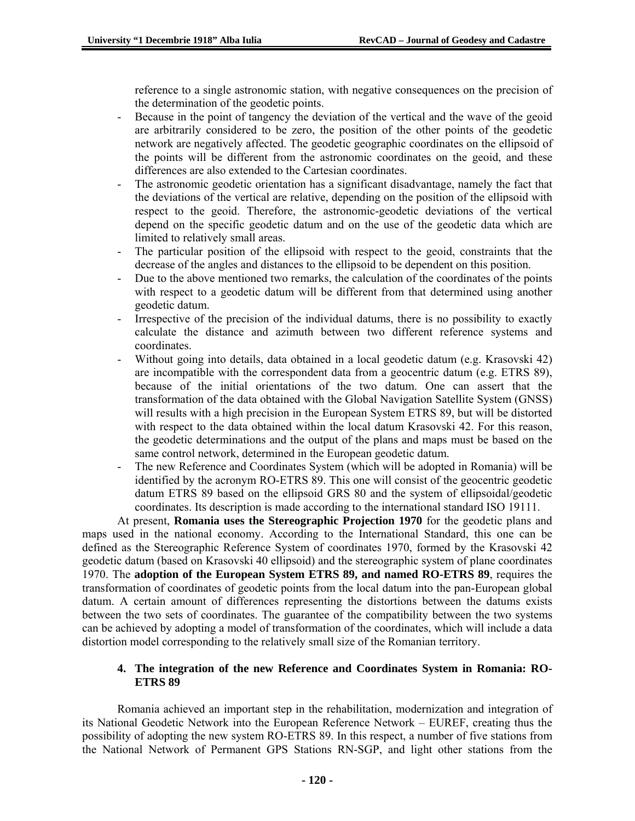reference to a single astronomic station, with negative consequences on the precision of the determination of the geodetic points.

- Because in the point of tangency the deviation of the vertical and the wave of the geoid are arbitrarily considered to be zero, the position of the other points of the geodetic network are negatively affected. The geodetic geographic coordinates on the ellipsoid of the points will be different from the astronomic coordinates on the geoid, and these differences are also extended to the Cartesian coordinates.
- The astronomic geodetic orientation has a significant disadvantage, namely the fact that the deviations of the vertical are relative, depending on the position of the ellipsoid with respect to the geoid. Therefore, the astronomic-geodetic deviations of the vertical depend on the specific geodetic datum and on the use of the geodetic data which are limited to relatively small areas.
- The particular position of the ellipsoid with respect to the geoid, constraints that the decrease of the angles and distances to the ellipsoid to be dependent on this position.
- Due to the above mentioned two remarks, the calculation of the coordinates of the points with respect to a geodetic datum will be different from that determined using another geodetic datum.
- Irrespective of the precision of the individual datums, there is no possibility to exactly calculate the distance and azimuth between two different reference systems and coordinates.
- Without going into details, data obtained in a local geodetic datum (e.g. Krasovski 42) are incompatible with the correspondent data from a geocentric datum (e.g. ETRS 89), because of the initial orientations of the two datum. One can assert that the transformation of the data obtained with the Global Navigation Satellite System (GNSS) will results with a high precision in the European System ETRS 89, but will be distorted with respect to the data obtained within the local datum Krasovski 42. For this reason, the geodetic determinations and the output of the plans and maps must be based on the same control network, determined in the European geodetic datum.
- The new Reference and Coordinates System (which will be adopted in Romania) will be identified by the acronym RO-ETRS 89. This one will consist of the geocentric geodetic datum ETRS 89 based on the ellipsoid GRS 80 and the system of ellipsoidal/geodetic coordinates. Its description is made according to the international standard ISO 19111.

At present, **Romania uses the Stereographic Projection 1970** for the geodetic plans and maps used in the national economy. According to the International Standard, this one can be defined as the Stereographic Reference System of coordinates 1970, formed by the Krasovski 42 geodetic datum (based on Krasovski 40 ellipsoid) and the stereographic system of plane coordinates 1970. The **adoption of the European System ETRS 89, and named RO-ETRS 89**, requires the transformation of coordinates of geodetic points from the local datum into the pan-European global datum. A certain amount of differences representing the distortions between the datums exists between the two sets of coordinates. The guarantee of the compatibility between the two systems can be achieved by adopting a model of transformation of the coordinates, which will include a data distortion model corresponding to the relatively small size of the Romanian territory.

## **4. The integration of the new Reference and Coordinates System in Romania: RO-ETRS 89**

Romania achieved an important step in the rehabilitation, modernization and integration of its National Geodetic Network into the European Reference Network – EUREF, creating thus the possibility of adopting the new system RO-ETRS 89. In this respect, a number of five stations from the National Network of Permanent GPS Stations RN-SGP, and light other stations from the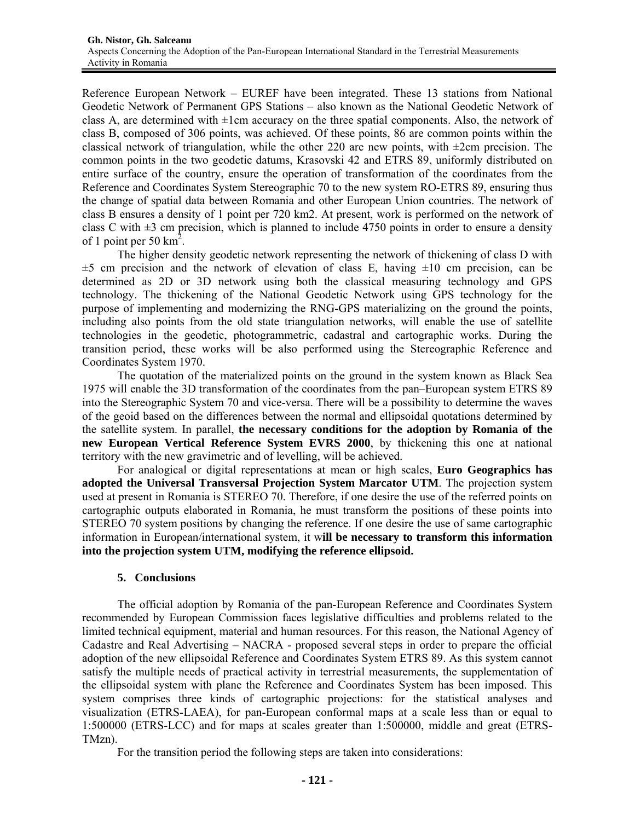Reference European Network – EUREF have been integrated. These 13 stations from National Geodetic Network of Permanent GPS Stations – also known as the National Geodetic Network of class A, are determined with  $\pm 1$ cm accuracy on the three spatial components. Also, the network of class B, composed of 306 points, was achieved. Of these points, 86 are common points within the classical network of triangulation, while the other 220 are new points, with  $\pm$ 2cm precision. The common points in the two geodetic datums, Krasovski 42 and ETRS 89, uniformly distributed on entire surface of the country, ensure the operation of transformation of the coordinates from the Reference and Coordinates System Stereographic 70 to the new system RO-ETRS 89, ensuring thus the change of spatial data between Romania and other European Union countries. The network of class B ensures a density of 1 point per 720 km2. At present, work is performed on the network of class C with  $\pm 3$  cm precision, which is planned to include 4750 points in order to ensure a density of 1 point per 50  $\text{km}^2$ .

The higher density geodetic network representing the network of thickening of class D with  $\pm$ 5 cm precision and the network of elevation of class E, having  $\pm$ 10 cm precision, can be determined as 2D or 3D network using both the classical measuring technology and GPS technology. The thickening of the National Geodetic Network using GPS technology for the purpose of implementing and modernizing the RNG-GPS materializing on the ground the points, including also points from the old state triangulation networks, will enable the use of satellite technologies in the geodetic, photogrammetric, cadastral and cartographic works. During the transition period, these works will be also performed using the Stereographic Reference and Coordinates System 1970.

The quotation of the materialized points on the ground in the system known as Black Sea 1975 will enable the 3D transformation of the coordinates from the pan–European system ETRS 89 into the Stereographic System 70 and vice-versa. There will be a possibility to determine the waves of the geoid based on the differences between the normal and ellipsoidal quotations determined by the satellite system. In parallel, **the necessary conditions for the adoption by Romania of the new European Vertical Reference System EVRS 2000**, by thickening this one at national territory with the new gravimetric and of levelling, will be achieved.

For analogical or digital representations at mean or high scales, **Euro Geographics has adopted the Universal Transversal Projection System Marcator UTM**. The projection system used at present in Romania is STEREO 70. Therefore, if one desire the use of the referred points on cartographic outputs elaborated in Romania, he must transform the positions of these points into STEREO 70 system positions by changing the reference. If one desire the use of same cartographic information in European/international system, it w**ill be necessary to transform this information into the projection system UTM, modifying the reference ellipsoid.** 

#### **5. Conclusions**

The official adoption by Romania of the pan-European Reference and Coordinates System recommended by European Commission faces legislative difficulties and problems related to the limited technical equipment, material and human resources. For this reason, the National Agency of Cadastre and Real Advertising – NACRA - proposed several steps in order to prepare the official adoption of the new ellipsoidal Reference and Coordinates System ETRS 89. As this system cannot satisfy the multiple needs of practical activity in terrestrial measurements, the supplementation of the ellipsoidal system with plane the Reference and Coordinates System has been imposed. This system comprises three kinds of cartographic projections: for the statistical analyses and visualization (ETRS-LAEA), for pan-European conformal maps at a scale less than or equal to 1:500000 (ETRS-LCC) and for maps at scales greater than 1:500000, middle and great (ETRS-TMzn).

For the transition period the following steps are taken into considerations: